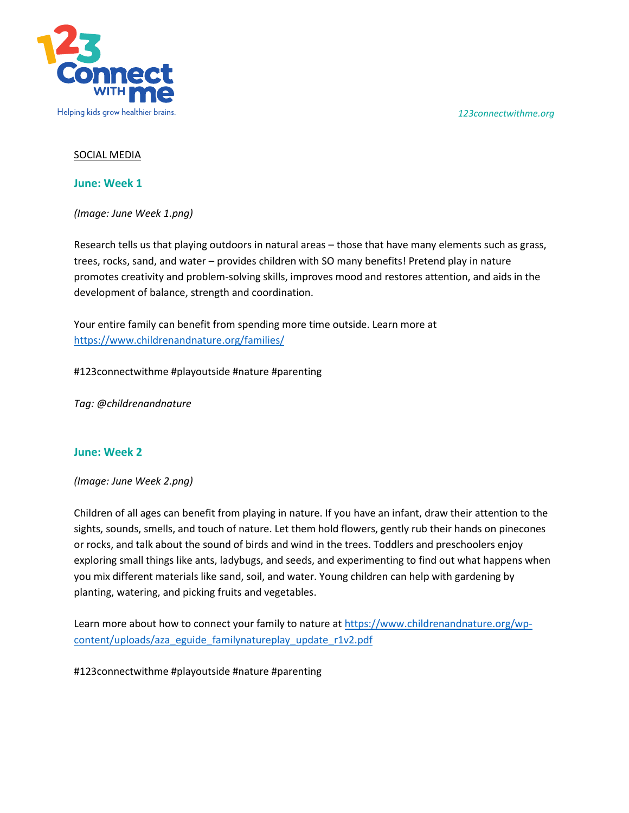*123connectwithme.org*



# SOCIAL MEDIA

**June: Week 1**

*(Image: June Week 1.png)* 

Research tells us that playing outdoors in natural areas – those that have many elements such as grass, trees, rocks, sand, and water – provides children with SO many benefits! Pretend play in nature promotes creativity and problem-solving skills, improves mood and restores attention, and aids in the development of balance, strength and coordination.

Your entire family can benefit from spending more time outside. Learn more at <https://www.childrenandnature.org/families/>

#123connectwithme #playoutside #nature #parenting

*Tag: @childrenandnature*

## **June: Week 2**

*(Image: June Week 2.png)* 

Children of all ages can benefit from playing in nature. If you have an infant, draw their attention to the sights, sounds, smells, and touch of nature. Let them hold flowers, gently rub their hands on pinecones or rocks, and talk about the sound of birds and wind in the trees. Toddlers and preschoolers enjoy exploring small things like ants, ladybugs, and seeds, and experimenting to find out what happens when you mix different materials like sand, soil, and water. Young children can help with gardening by planting, watering, and picking fruits and vegetables.

Learn more about how to connect your family to nature at [https://www.childrenandnature.org/wp](https://www.childrenandnature.org/wp-content/uploads/aza_eguide_familynatureplay_update_r1v2.pdf)[content/uploads/aza\\_eguide\\_familynatureplay\\_update\\_r1v2.pdf](https://www.childrenandnature.org/wp-content/uploads/aza_eguide_familynatureplay_update_r1v2.pdf)

#123connectwithme #playoutside #nature #parenting